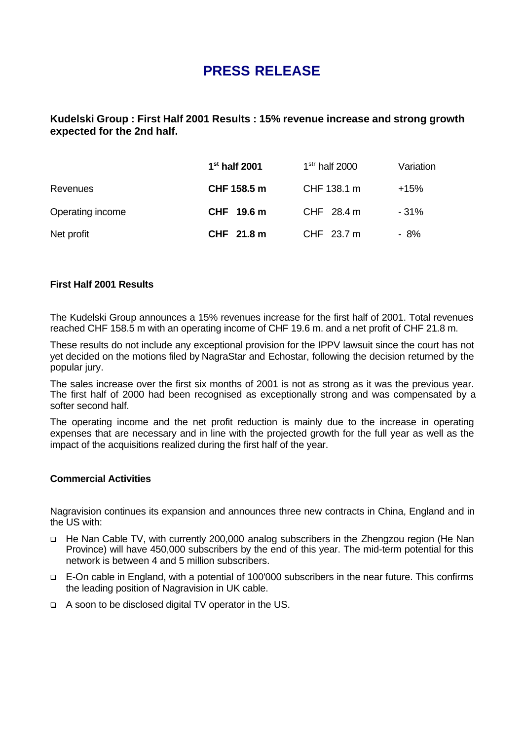# **PRESS RELEASE**

## **Kudelski Group : First Half 2001 Results : 15% revenue increase and strong growth expected for the 2nd half.**

|                  | $1st$ half 2001 | $1str$ half 2000 | Variation |
|------------------|-----------------|------------------|-----------|
| Revenues         | CHF 158.5 m     | CHF 138.1 m      | $+15%$    |
| Operating income | CHF 19.6 m      | CHF 28.4 m       | - 31%     |
| Net profit       | CHF 21.8 m      | CHF 23.7 m       | - 8%      |

### **First Half 2001 Results**

The Kudelski Group announces a 15% revenues increase for the first half of 2001. Total revenues reached CHF 158.5 m with an operating income of CHF 19.6 m. and a net profit of CHF 21.8 m.

These results do not include any exceptional provision for the IPPV lawsuit since the court has not yet decided on the motions filed by NagraStar and Echostar, following the decision returned by the popular jury.

The sales increase over the first six months of 2001 is not as strong as it was the previous year. The first half of 2000 had been recognised as exceptionally strong and was compensated by a softer second half.

The operating income and the net profit reduction is mainly due to the increase in operating expenses that are necessary and in line with the projected growth for the full year as well as the impact of the acquisitions realized during the first half of the year.

### **Commercial Activities**

Nagravision continues its expansion and announces three new contracts in China, England and in the US with:

- q He Nan Cable TV, with currently 200,000 analog subscribers in the Zhengzou region (He Nan Province) will have 450,000 subscribers by the end of this year. The mid-term potential for this network is between 4 and 5 million subscribers.
- q E-On cable in England, with a potential of 100'000 subscribers in the near future. This confirms the leading position of Nagravision in UK cable.
- q A soon to be disclosed digital TV operator in the US.